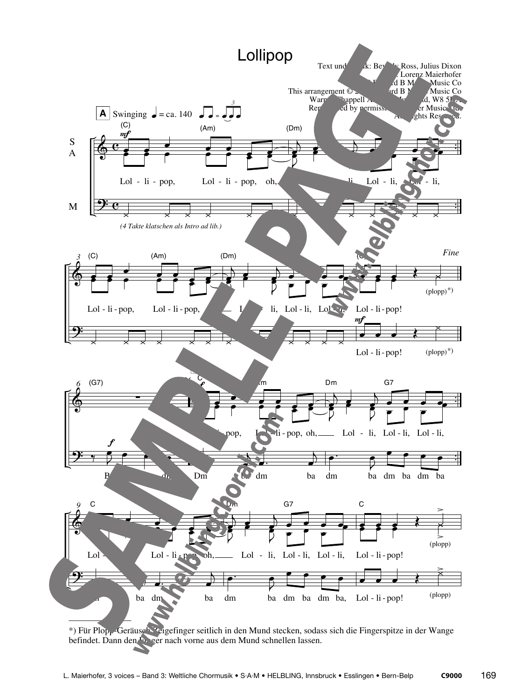

\*) Für Plopp-Geräusch Zeigefinger seitlich in den Mund stecken, sodass sich die Fingerspitze in der Wange befindet. Dann den Finger nach vorne aus dem Mund schnellen lassen.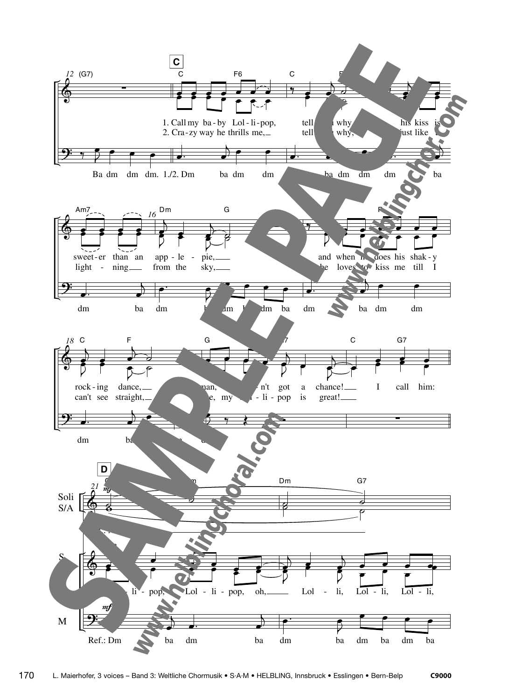